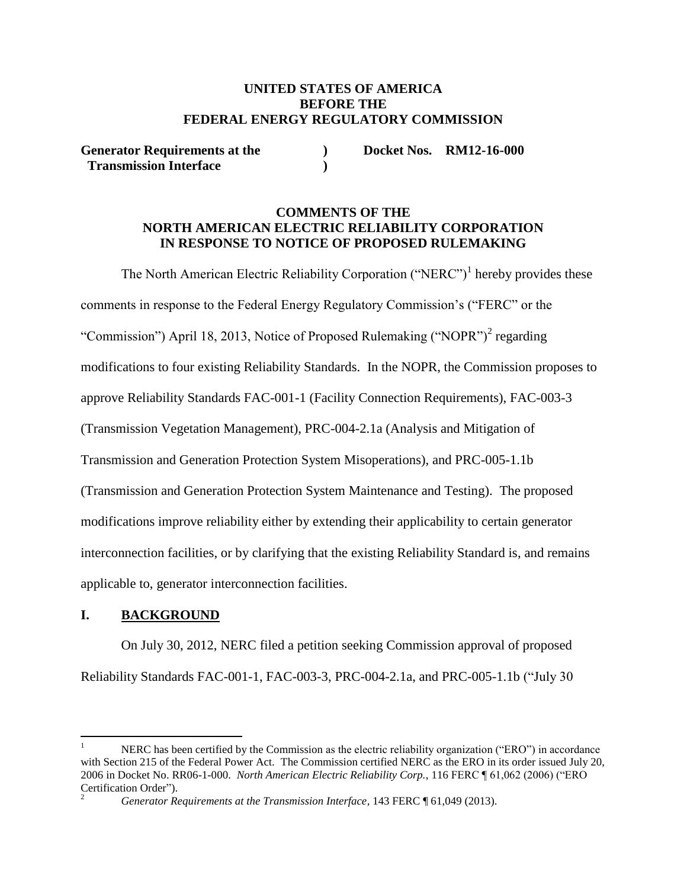## **UNITED STATES OF AMERICA BEFORE THE FEDERAL ENERGY REGULATORY COMMISSION**

**Generator Requirements at the ) Docket Nos. RM12-16-000 Transmission Interface )**

## **COMMENTS OF THE NORTH AMERICAN ELECTRIC RELIABILITY CORPORATION IN RESPONSE TO NOTICE OF PROPOSED RULEMAKING**

The North American Electric Reliability Corporation ("NERC")<sup>1</sup> hereby provides these comments in response to the Federal Energy Regulatory Commission's ("FERC" or the "Commission") April 18, 2013, Notice of Proposed Rulemaking ("NOPR")<sup>2</sup> regarding modifications to four existing Reliability Standards. In the NOPR, the Commission proposes to approve Reliability Standards FAC-001-1 (Facility Connection Requirements), FAC-003-3 (Transmission Vegetation Management), PRC-004-2.1a (Analysis and Mitigation of Transmission and Generation Protection System Misoperations), and PRC-005-1.1b (Transmission and Generation Protection System Maintenance and Testing). The proposed modifications improve reliability either by extending their applicability to certain generator interconnection facilities, or by clarifying that the existing Reliability Standard is, and remains applicable to, generator interconnection facilities.

## **I. BACKGROUND**

On July 30, 2012, NERC filed a petition seeking Commission approval of proposed Reliability Standards FAC-001-1, FAC-003-3, PRC-004-2.1a, and PRC-005-1.1b ("July 30

 $\overline{a}$ 1 NERC has been certified by the Commission as the electric reliability organization ("ERO") in accordance with Section 215 of the Federal Power Act. The Commission certified NERC as the ERO in its order issued July 20, 2006 in Docket No. RR06-1-000. *North American Electric Reliability Corp.*, 116 FERC ¶ 61,062 (2006) ("ERO Certification Order").

<sup>2</sup> *Generator Requirements at the Transmission Interface*, 143 FERC ¶ 61,049 (2013).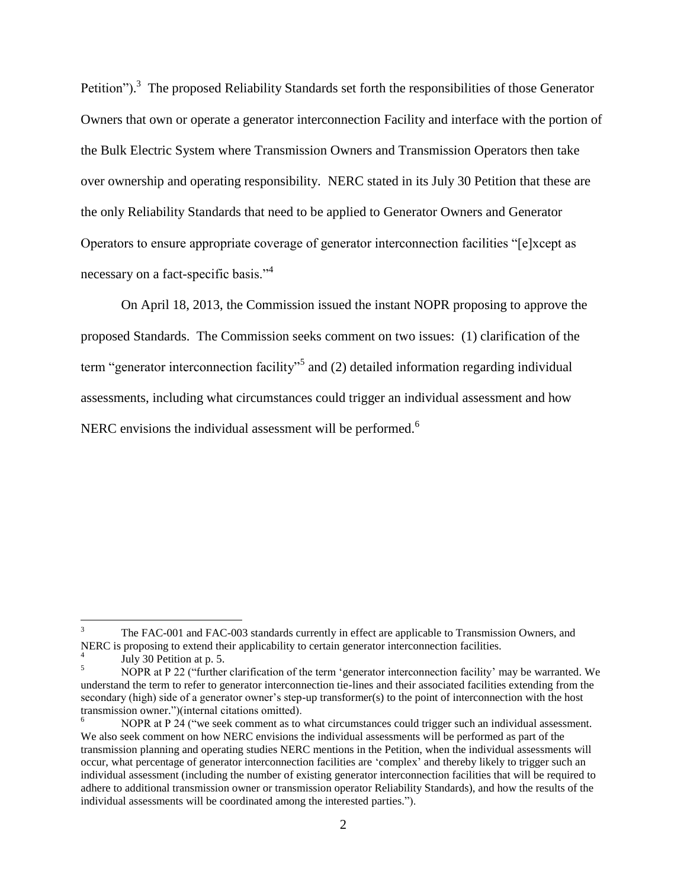Petition").<sup>3</sup> The proposed Reliability Standards set forth the responsibilities of those Generator Owners that own or operate a generator interconnection Facility and interface with the portion of the Bulk Electric System where Transmission Owners and Transmission Operators then take over ownership and operating responsibility. NERC stated in its July 30 Petition that these are the only Reliability Standards that need to be applied to Generator Owners and Generator Operators to ensure appropriate coverage of generator interconnection facilities "[e]xcept as necessary on a fact-specific basis."<sup>4</sup>

On April 18, 2013, the Commission issued the instant NOPR proposing to approve the proposed Standards. The Commission seeks comment on two issues: (1) clarification of the term "generator interconnection facility"<sup>5</sup> and (2) detailed information regarding individual assessments, including what circumstances could trigger an individual assessment and how NERC envisions the individual assessment will be performed.<sup>6</sup>

<sup>&</sup>lt;sup>2</sup><br>3 The FAC-001 and FAC-003 standards currently in effect are applicable to Transmission Owners, and NERC is proposing to extend their applicability to certain generator interconnection facilities. 4

July 30 Petition at p. 5. 5

NOPR at P 22 ("further clarification of the term 'generator interconnection facility' may be warranted. We understand the term to refer to generator interconnection tie-lines and their associated facilities extending from the secondary (high) side of a generator owner's step-up transformer(s) to the point of interconnection with the host transmission owner.")(internal citations omitted).

<sup>6</sup> NOPR at P 24 ("we seek comment as to what circumstances could trigger such an individual assessment. We also seek comment on how NERC envisions the individual assessments will be performed as part of the transmission planning and operating studies NERC mentions in the Petition, when the individual assessments will occur, what percentage of generator interconnection facilities are 'complex' and thereby likely to trigger such an individual assessment (including the number of existing generator interconnection facilities that will be required to adhere to additional transmission owner or transmission operator Reliability Standards), and how the results of the individual assessments will be coordinated among the interested parties.").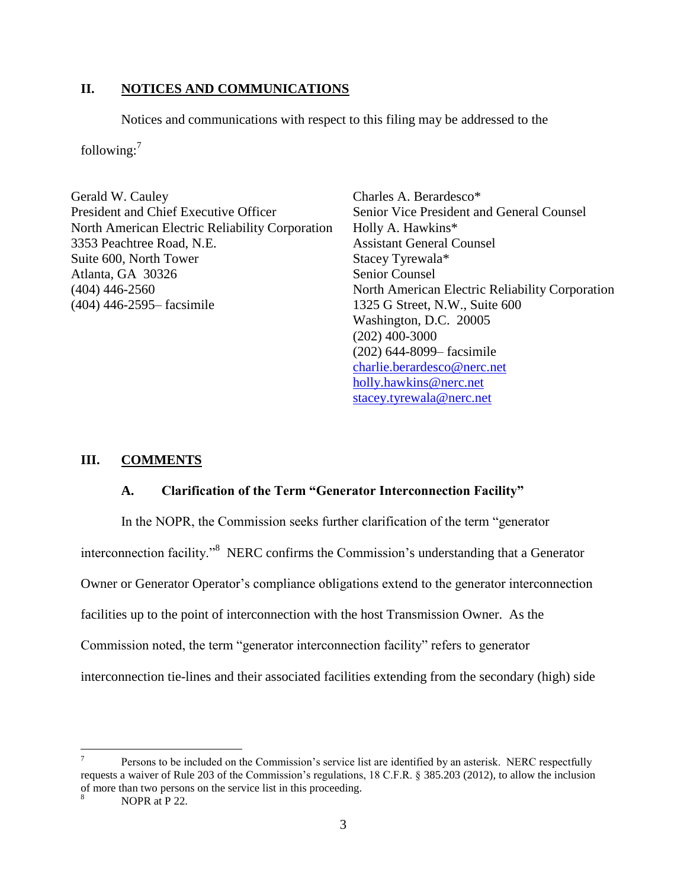## **II. NOTICES AND COMMUNICATIONS**

Notices and communications with respect to this filing may be addressed to the

following: $<sup>7</sup>$ </sup>

Gerald W. Cauley President and Chief Executive Officer North American Electric Reliability Corporation 3353 Peachtree Road, N.E. Suite 600, North Tower Atlanta, GA 30326 (404) 446-2560 (404) 446-2595– facsimile

Charles A. Berardesco\* Senior Vice President and General Counsel Holly A. Hawkins\* Assistant General Counsel Stacey Tyrewala\* Senior Counsel North American Electric Reliability Corporation 1325 G Street, N.W., Suite 600 Washington, D.C. 20005 (202) 400-3000 (202) 644-8099– facsimile [charlie.berardesco@nerc.net](mailto:charlie.berardesco@nerc.net) [holly.hawkins@nerc.net](mailto:holly.hawkins@nerc.net) [stacey.tyrewala@nerc.net](mailto:stacey.tyrewala@nerc.net)

## **III. COMMENTS**

## **A. Clarification of the Term "Generator Interconnection Facility"**

In the NOPR, the Commission seeks further clarification of the term "generator interconnection facility."<sup>8</sup> NERC confirms the Commission's understanding that a Generator Owner or Generator Operator's compliance obligations extend to the generator interconnection facilities up to the point of interconnection with the host Transmission Owner. As the Commission noted, the term "generator interconnection facility" refers to generator interconnection tie-lines and their associated facilities extending from the secondary (high) side

 $\overline{a}$ 

<sup>7</sup> Persons to be included on the Commission's service list are identified by an asterisk. NERC respectfully requests a waiver of Rule 203 of the Commission's regulations, 18 C.F.R. § 385.203 (2012), to allow the inclusion of more than two persons on the service list in this proceeding.

<sup>8</sup> NOPR at P 22.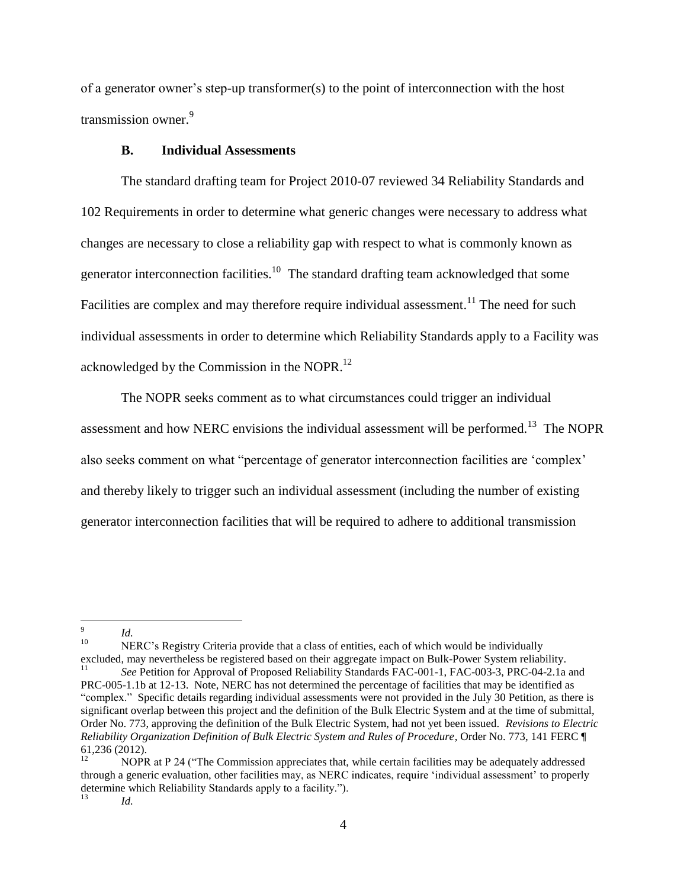of a generator owner's step-up transformer(s) to the point of interconnection with the host transmission owner.<sup>9</sup>

#### **B. Individual Assessments**

The standard drafting team for Project 2010-07 reviewed 34 Reliability Standards and 102 Requirements in order to determine what generic changes were necessary to address what changes are necessary to close a reliability gap with respect to what is commonly known as generator interconnection facilities.<sup>10</sup> The standard drafting team acknowledged that some Facilities are complex and may therefore require individual assessment.<sup>11</sup> The need for such individual assessments in order to determine which Reliability Standards apply to a Facility was acknowledged by the Commission in the NOPR.<sup>12</sup>

The NOPR seeks comment as to what circumstances could trigger an individual assessment and how NERC envisions the individual assessment will be performed.<sup>13</sup> The NOPR also seeks comment on what "percentage of generator interconnection facilities are 'complex' and thereby likely to trigger such an individual assessment (including the number of existing generator interconnection facilities that will be required to adhere to additional transmission

10 NERC's Registry Criteria provide that a class of entities, each of which would be individually excluded, may nevertheless be registered based on their aggregate impact on Bulk-Power System reliability.<br><sup>11</sup> See Betition for Annoyal of Proposed Beliebility Standards FAC 001.1, FAC 003.3, PBC 04.2.1a

<sup>-&</sup>lt;br>9 *Id.*

*See* Petition for Approval of Proposed Reliability Standards FAC-001-1, FAC-003-3, PRC-04-2.1a and PRC-005-1.1b at 12-13. Note, NERC has not determined the percentage of facilities that may be identified as "complex." Specific details regarding individual assessments were not provided in the July 30 Petition, as there is significant overlap between this project and the definition of the Bulk Electric System and at the time of submittal, Order No. 773, approving the definition of the Bulk Electric System, had not yet been issued. *Revisions to Electric Reliability Organization Definition of Bulk Electric System and Rules of Procedure*, Order No. 773, 141 FERC ¶ 61,236 (2012).

<sup>12</sup> NOPR at P 24 ("The Commission appreciates that, while certain facilities may be adequately addressed through a generic evaluation, other facilities may, as NERC indicates, require 'individual assessment' to properly determine which Reliability Standards apply to a facility."). 13

*Id.*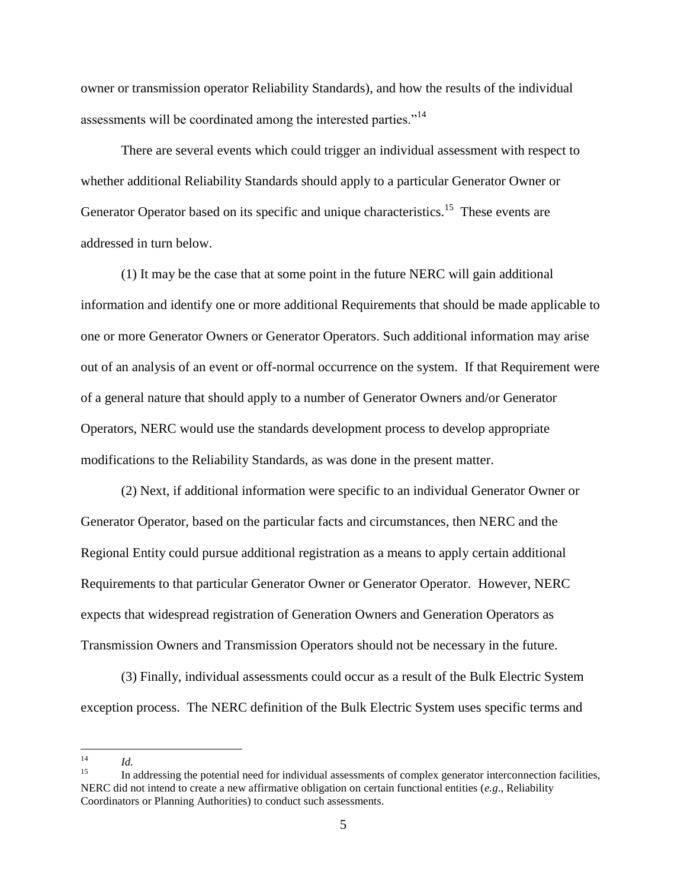owner or transmission operator Reliability Standards), and how the results of the individual assessments will be coordinated among the interested parties."<sup>14</sup>

There are several events which could trigger an individual assessment with respect to whether additional Reliability Standards should apply to a particular Generator Owner or Generator Operator based on its specific and unique characteristics.<sup>15</sup> These events are addressed in turn below.

(1) It may be the case that at some point in the future NERC will gain additional information and identify one or more additional Requirements that should be made applicable to one or more Generator Owners or Generator Operators. Such additional information may arise out of an analysis of an event or off-normal occurrence on the system. If that Requirement were of a general nature that should apply to a number of Generator Owners and/or Generator Operators, NERC would use the standards development process to develop appropriate modifications to the Reliability Standards, as was done in the present matter.

(2) Next, if additional information were specific to an individual Generator Owner or Generator Operator, based on the particular facts and circumstances, then NERC and the Regional Entity could pursue additional registration as a means to apply certain additional Requirements to that particular Generator Owner or Generator Operator. However, NERC expects that widespread registration of Generation Owners and Generation Operators as Transmission Owners and Transmission Operators should not be necessary in the future.

(3) Finally, individual assessments could occur as a result of the Bulk Electric System exception process. The NERC definition of the Bulk Electric System uses specific terms and

<sup>&</sup>lt;sup>14</sup> *Id.*

<sup>15</sup> In addressing the potential need for individual assessments of complex generator interconnection facilities, NERC did not intend to create a new affirmative obligation on certain functional entities (*e.g*., Reliability Coordinators or Planning Authorities) to conduct such assessments.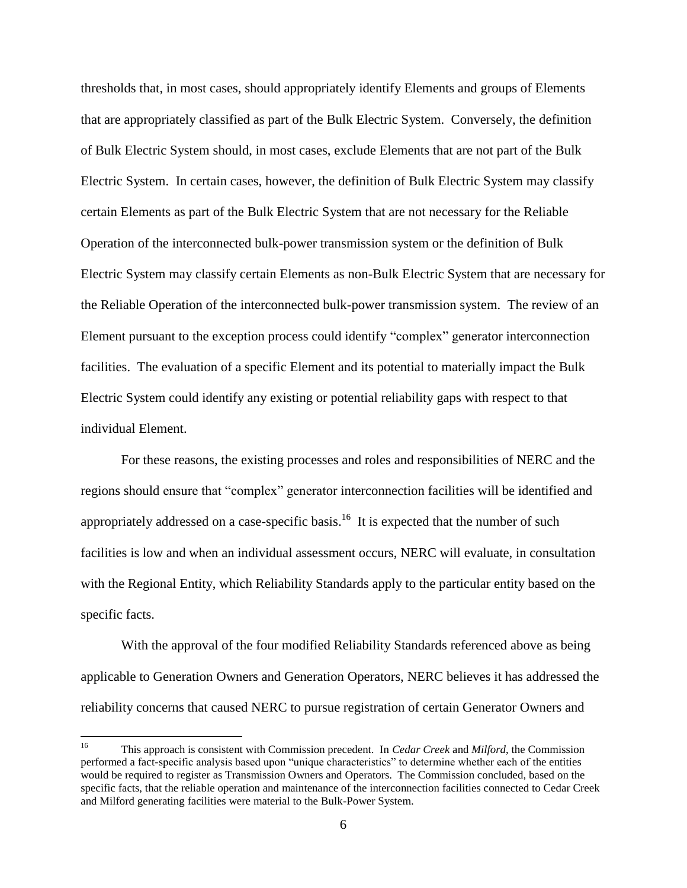thresholds that, in most cases, should appropriately identify Elements and groups of Elements that are appropriately classified as part of the Bulk Electric System. Conversely, the definition of Bulk Electric System should, in most cases, exclude Elements that are not part of the Bulk Electric System. In certain cases, however, the definition of Bulk Electric System may classify certain Elements as part of the Bulk Electric System that are not necessary for the Reliable Operation of the interconnected bulk-power transmission system or the definition of Bulk Electric System may classify certain Elements as non-Bulk Electric System that are necessary for the Reliable Operation of the interconnected bulk-power transmission system. The review of an Element pursuant to the exception process could identify "complex" generator interconnection facilities. The evaluation of a specific Element and its potential to materially impact the Bulk Electric System could identify any existing or potential reliability gaps with respect to that individual Element.

For these reasons, the existing processes and roles and responsibilities of NERC and the regions should ensure that "complex" generator interconnection facilities will be identified and appropriately addressed on a case-specific basis.<sup>16</sup> It is expected that the number of such facilities is low and when an individual assessment occurs, NERC will evaluate, in consultation with the Regional Entity, which Reliability Standards apply to the particular entity based on the specific facts.

With the approval of the four modified Reliability Standards referenced above as being applicable to Generation Owners and Generation Operators, NERC believes it has addressed the reliability concerns that caused NERC to pursue registration of certain Generator Owners and

<sup>&</sup>lt;sup>16</sup> This approach is consistent with Commission precedent. In *Cedar Creek* and *Milford*, the Commission performed a fact-specific analysis based upon "unique characteristics" to determine whether each of the entities would be required to register as Transmission Owners and Operators. The Commission concluded, based on the specific facts, that the reliable operation and maintenance of the interconnection facilities connected to Cedar Creek and Milford generating facilities were material to the Bulk-Power System.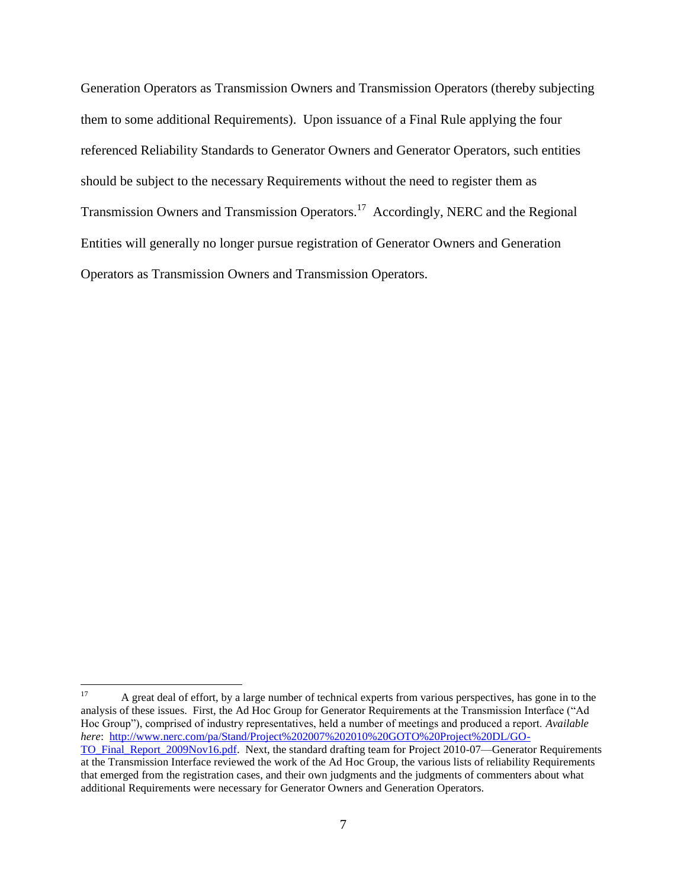Generation Operators as Transmission Owners and Transmission Operators (thereby subjecting them to some additional Requirements). Upon issuance of a Final Rule applying the four referenced Reliability Standards to Generator Owners and Generator Operators, such entities should be subject to the necessary Requirements without the need to register them as Transmission Owners and Transmission Operators.<sup>17</sup> Accordingly, NERC and the Regional Entities will generally no longer pursue registration of Generator Owners and Generation Operators as Transmission Owners and Transmission Operators.

<sup>17</sup>

A great deal of effort, by a large number of technical experts from various perspectives, has gone in to the analysis of these issues. First, the Ad Hoc Group for Generator Requirements at the Transmission Interface ("Ad Hoc Group"), comprised of industry representatives, held a number of meetings and produced a report. *Available here*: [http://www.nerc.com/pa/Stand/Project%202007%202010%20GOTO%20Project%20DL/GO-](http://www.nerc.com/pa/Stand/Project%202007%202010%20GOTO%20Project%20DL/GO-TO_Final_Report_2009Nov16.pdf)[TO\\_Final\\_Report\\_2009Nov16.pdf.](http://www.nerc.com/pa/Stand/Project%202007%202010%20GOTO%20Project%20DL/GO-TO_Final_Report_2009Nov16.pdf) Next, the standard drafting team for Project 2010-07—Generator Requirements at the Transmission Interface reviewed the work of the Ad Hoc Group, the various lists of reliability Requirements that emerged from the registration cases, and their own judgments and the judgments of commenters about what additional Requirements were necessary for Generator Owners and Generation Operators.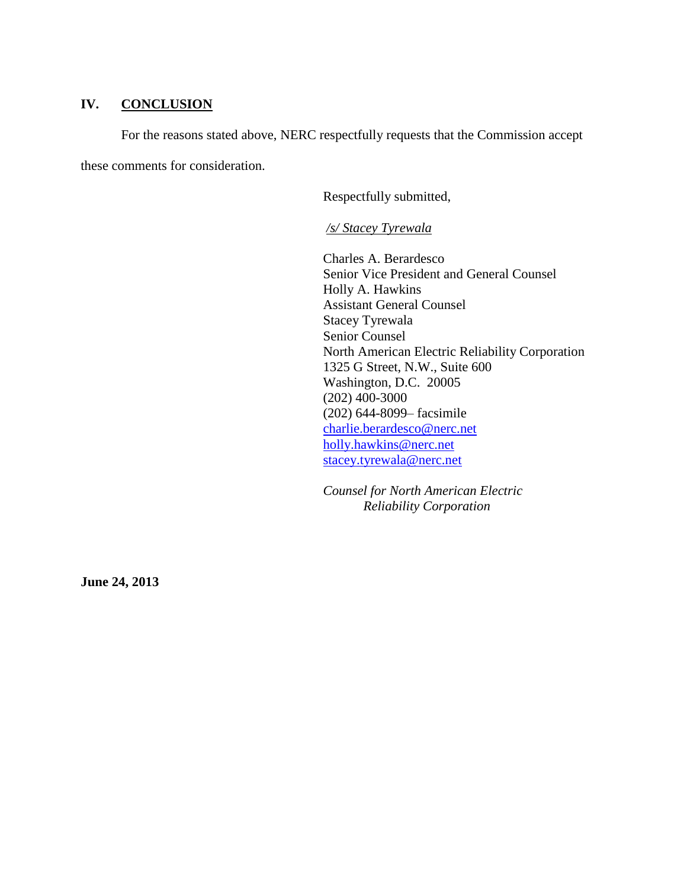### **IV. CONCLUSION**

For the reasons stated above, NERC respectfully requests that the Commission accept these comments for consideration.

Respectfully submitted,

*/s/ Stacey Tyrewala*

Charles A. Berardesco Senior Vice President and General Counsel Holly A. Hawkins Assistant General Counsel Stacey Tyrewala Senior Counsel North American Electric Reliability Corporation 1325 G Street, N.W., Suite 600 Washington, D.C. 20005 (202) 400-3000 (202) 644-8099– facsimile [charlie.berardesco@nerc.net](mailto:charlie.berardesco@nerc.net) [holly.hawkins@nerc.net](mailto:holly.hawkins@nerc.net) [stacey.tyrewala@nerc.net](mailto:stacey.tyrewala@nerc.net)

*Counsel for North American Electric Reliability Corporation*

**June 24, 2013**